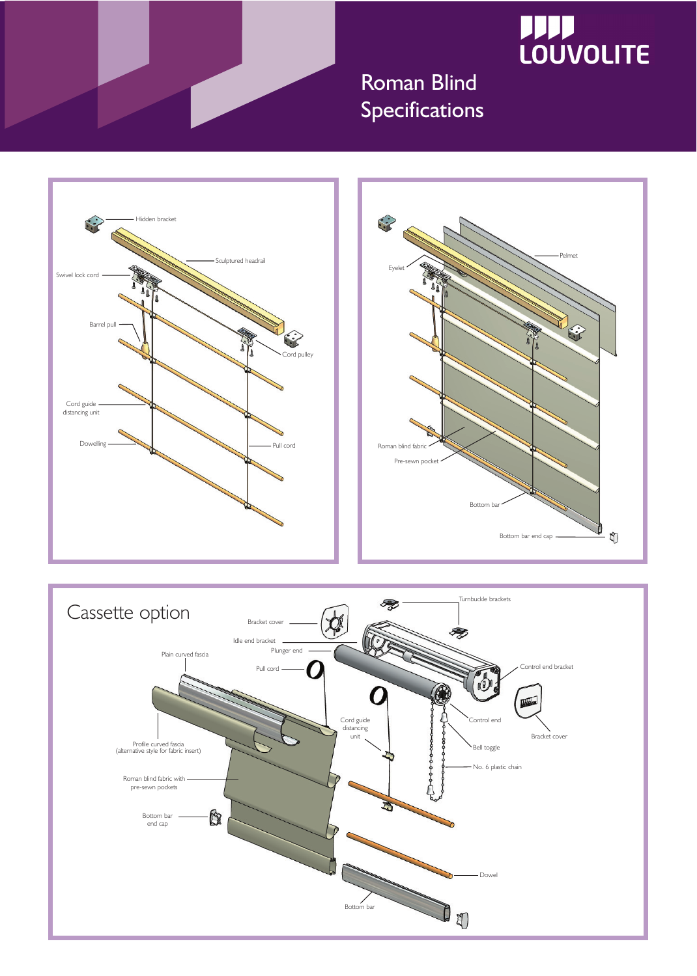

## **JJJJ LOUVOLITE**

## Roman Blind Specifications